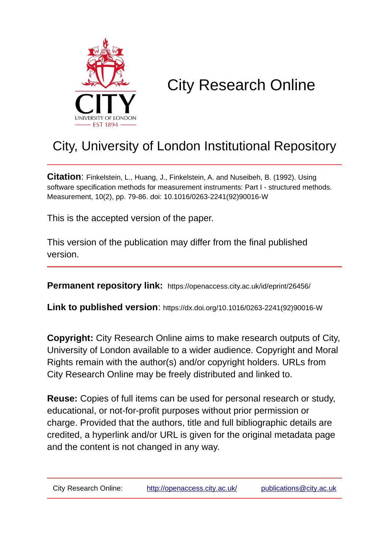

# City Research Online

## City, University of London Institutional Repository

**Citation**: Finkelstein, L., Huang, J., Finkelstein, A. and Nuseibeh, B. (1992). Using software specification methods for measurement instruments: Part I - structured methods. Measurement, 10(2), pp. 79-86. doi: 10.1016/0263-2241(92)90016-W

This is the accepted version of the paper.

This version of the publication may differ from the final published version.

**Permanent repository link:** https://openaccess.city.ac.uk/id/eprint/26456/

**Link to published version**: https://dx.doi.org/10.1016/0263-2241(92)90016-W

**Copyright:** City Research Online aims to make research outputs of City, University of London available to a wider audience. Copyright and Moral Rights remain with the author(s) and/or copyright holders. URLs from City Research Online may be freely distributed and linked to.

**Reuse:** Copies of full items can be used for personal research or study, educational, or not-for-profit purposes without prior permission or charge. Provided that the authors, title and full bibliographic details are credited, a hyperlink and/or URL is given for the original metadata page and the content is not changed in any way.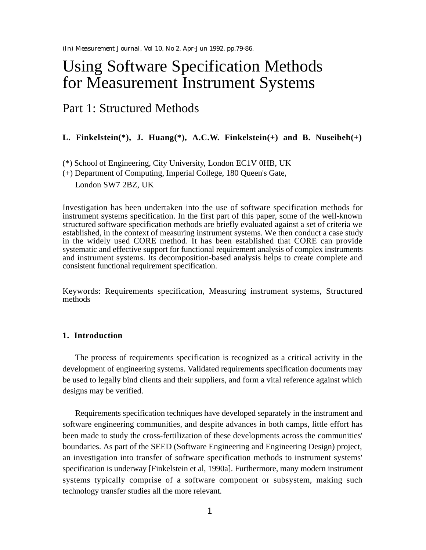*(In) Measurement Journal, Vol 10, No 2, Apr-Jun 1992, pp.79-86.*

### Using Software Specification Methods for Measurement Instrument Systems

### Part 1: Structured Methods

#### **L. Finkelstein(\*), J. Huang(\*), A.C.W. Finkelstein(+) and B. Nuseibeh(+)**

(\*) School of Engineering, City University, London EC1V 0HB, UK (+) Department of Computing, Imperial College, 180 Queen's Gate, London SW7 2BZ, UK

Investigation has been undertaken into the use of software specification methods for instrument systems specification. In the first part of this paper, some of the well-known structured software specification methods are briefly evaluated against a set of criteria we established, in the context of measuring instrument systems. We then conduct a case study in the widely used CORE method. It has been established that CORE can provide systematic and effective support for functional requirement analysis of complex instruments and instrument systems. Its decomposition-based analysis helps to create complete and consistent functional requirement specification.

Keywords: Requirements specification, Measuring instrument systems, Structured methods

#### **1. Introduction**

The process of requirements specification is recognized as a critical activity in the development of engineering systems. Validated requirements specification documents may be used to legally bind clients and their suppliers, and form a vital reference against which designs may be verified.

Requirements specification techniques have developed separately in the instrument and software engineering communities, and despite advances in both camps, little effort has been made to study the cross-fertilization of these developments across the communities' boundaries. As part of the SEED (Software Engineering and Engineering Design) project, an investigation into transfer of software specification methods to instrument systems' specification is underway [Finkelstein et al, 1990a]. Furthermore, many modern instrument systems typically comprise of a software component or subsystem, making such technology transfer studies all the more relevant.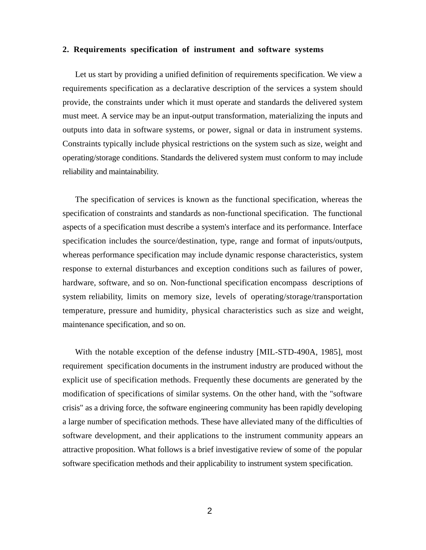#### **2. Requirements specification of instrument and software systems**

Let us start by providing a unified definition of requirements specification. We view a requirements specification as a declarative description of the services a system should provide, the constraints under which it must operate and standards the delivered system must meet. A service may be an input-output transformation, materializing the inputs and outputs into data in software systems, or power, signal or data in instrument systems. Constraints typically include physical restrictions on the system such as size, weight and operating/storage conditions. Standards the delivered system must conform to may include reliability and maintainability.

The specification of services is known as the functional specification, whereas the specification of constraints and standards as non-functional specification. The functional aspects of a specification must describe a system's interface and its performance. Interface specification includes the source/destination, type, range and format of inputs/outputs, whereas performance specification may include dynamic response characteristics, system response to external disturbances and exception conditions such as failures of power, hardware, software, and so on. Non-functional specification encompass descriptions of system reliability, limits on memory size, levels of operating/storage/transportation temperature, pressure and humidity, physical characteristics such as size and weight, maintenance specification, and so on.

With the notable exception of the defense industry [MIL-STD-490A, 1985], most requirement specification documents in the instrument industry are produced without the explicit use of specification methods. Frequently these documents are generated by the modification of specifications of similar systems. On the other hand, with the "software crisis" as a driving force, the software engineering community has been rapidly developing a large number of specification methods. These have alleviated many of the difficulties of software development, and their applications to the instrument community appears an attractive proposition. What follows is a brief investigative review of some of the popular software specification methods and their applicability to instrument system specification.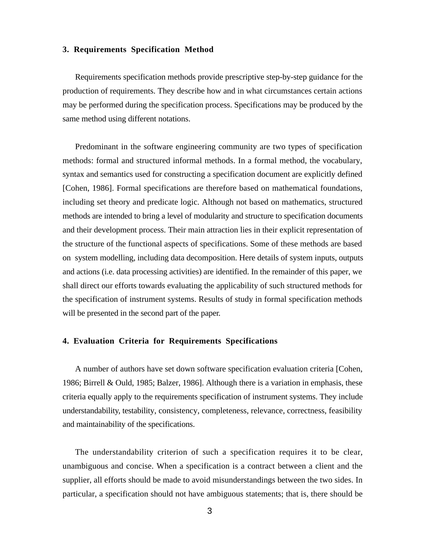#### **3. Requirements Specification Method**

Requirements specification methods provide prescriptive step-by-step guidance for the production of requirements. They describe how and in what circumstances certain actions may be performed during the specification process. Specifications may be produced by the same method using different notations.

Predominant in the software engineering community are two types of specification methods: formal and structured informal methods. In a formal method, the vocabulary, syntax and semantics used for constructing a specification document are explicitly defined [Cohen, 1986]. Formal specifications are therefore based on mathematical foundations, including set theory and predicate logic. Although not based on mathematics, structured methods are intended to bring a level of modularity and structure to specification documents and their development process. Their main attraction lies in their explicit representation of the structure of the functional aspects of specifications. Some of these methods are based on system modelling, including data decomposition. Here details of system inputs, outputs and actions (i.e. data processing activities) are identified. In the remainder of this paper, we shall direct our efforts towards evaluating the applicability of such structured methods for the specification of instrument systems. Results of study in formal specification methods will be presented in the second part of the paper.

#### **4. Evaluation Criteria for Requirements Specifications**

A number of authors have set down software specification evaluation criteria [Cohen, 1986; Birrell & Ould, 1985; Balzer, 1986]. Although there is a variation in emphasis, these criteria equally apply to the requirements specification of instrument systems. They include understandability, testability, consistency, completeness, relevance, correctness, feasibility and maintainability of the specifications.

The understandability criterion of such a specification requires it to be clear, unambiguous and concise. When a specification is a contract between a client and the supplier, all efforts should be made to avoid misunderstandings between the two sides. In particular, a specification should not have ambiguous statements; that is, there should be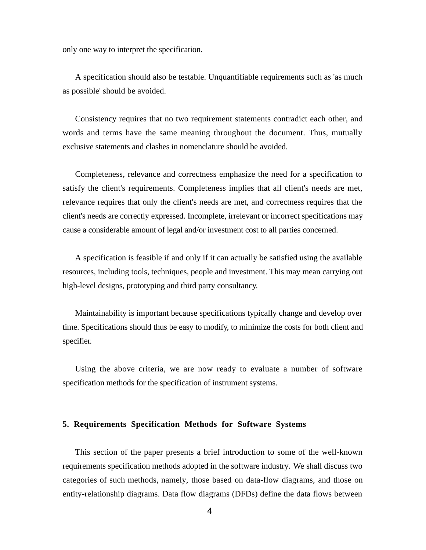only one way to interpret the specification.

A specification should also be testable. Unquantifiable requirements such as 'as much as possible' should be avoided.

Consistency requires that no two requirement statements contradict each other, and words and terms have the same meaning throughout the document. Thus, mutually exclusive statements and clashes in nomenclature should be avoided.

Completeness, relevance and correctness emphasize the need for a specification to satisfy the client's requirements. Completeness implies that all client's needs are met, relevance requires that only the client's needs are met, and correctness requires that the client's needs are correctly expressed. Incomplete, irrelevant or incorrect specifications may cause a considerable amount of legal and/or investment cost to all parties concerned.

A specification is feasible if and only if it can actually be satisfied using the available resources, including tools, techniques, people and investment. This may mean carrying out high-level designs, prototyping and third party consultancy.

Maintainability is important because specifications typically change and develop over time. Specifications should thus be easy to modify, to minimize the costs for both client and specifier.

Using the above criteria, we are now ready to evaluate a number of software specification methods for the specification of instrument systems.

#### **5. Requirements Specification Methods for Software Systems**

This section of the paper presents a brief introduction to some of the well-known requirements specification methods adopted in the software industry. We shall discuss two categories of such methods, namely, those based on data-flow diagrams, and those on entity-relationship diagrams. Data flow diagrams (DFDs) define the data flows between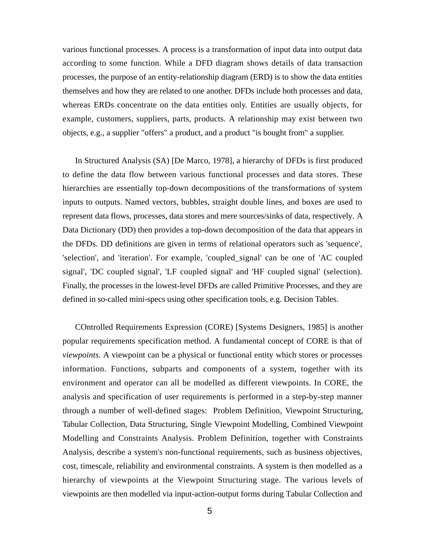various functional processes. A process is a transformation of input data into output data according to some function. While a DFD diagram shows details of data transaction processes, the purpose of an entity-relationship diagram (ERD) is to show the data entities themselves and how they are related to one another. DFDs include both processes and data, whereas ERDs concentrate on the data entities only. Entities are usually objects, for example, customers, suppliers, parts, products. A relationship may exist between two objects, e.g., a supplier "offers" a product, and a product "is bought from" a supplier.

In Structured Analysis (SA) [De Marco, 1978], a hierarchy of DFDs is first produced to define the data flow between various functional processes and data stores. These hierarchies are essentially top-down decompositions of the transformations of system inputs to outputs. Named vectors, bubbles, straight double lines, and boxes are used to represent data flows, processes, data stores and mere sources/sinks of data, respectively. A Data Dictionary (DD) then provides a top-down decomposition of the data that appears in the DFDs. DD definitions are given in terms of relational operators such as 'sequence', 'selection', and 'iteration'. For example, 'coupled\_signal' can be one of 'AC coupled signal', 'DC coupled signal', 'LF coupled signal' and 'HF coupled signal' (selection). Finally, the processes in the lowest-level DFDs are called Primitive Processes, and they are defined in so-called mini-specs using other specification tools, e.g. Decision Tables.

COntrolled Requirements Expression (CORE) [Systems Designers, 1985] is another popular requirements specification method. A fundamental concept of CORE is that of *viewpoints*. A viewpoint can be a physical or functional entity which stores or processes information. Functions, subparts and components of a system, together with its environment and operator can all be modelled as different viewpoints. In CORE, the analysis and specification of user requirements is performed in a step-by-step manner through a number of well-defined stages: Problem Definition, Viewpoint Structuring, Tabular Collection, Data Structuring, Single Viewpoint Modelling, Combined Viewpoint Modelling and Constraints Analysis. Problem Definition, together with Constraints Analysis, describe a system's non-functional requirements, such as business objectives, cost, timescale, reliability and environmental constraints. A system is then modelled as a hierarchy of viewpoints at the Viewpoint Structuring stage. The various levels of viewpoints are then modelled via input-action-output forms during Tabular Collection and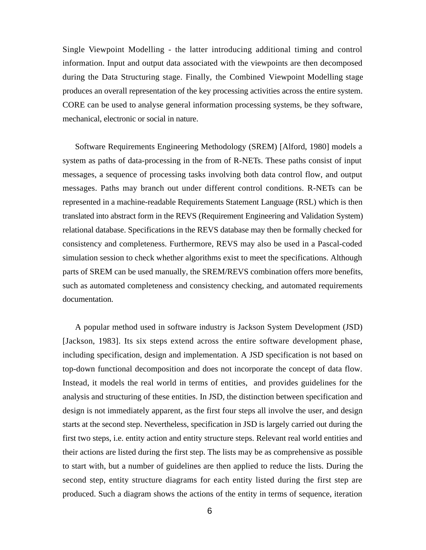Single Viewpoint Modelling - the latter introducing additional timing and control information. Input and output data associated with the viewpoints are then decomposed during the Data Structuring stage. Finally, the Combined Viewpoint Modelling stage produces an overall representation of the key processing activities across the entire system. CORE can be used to analyse general information processing systems, be they software, mechanical, electronic or social in nature.

Software Requirements Engineering Methodology (SREM) [Alford, 1980] models a system as paths of data-processing in the from of R-NETs. These paths consist of input messages, a sequence of processing tasks involving both data control flow, and output messages. Paths may branch out under different control conditions. R-NETs can be represented in a machine-readable Requirements Statement Language (RSL) which is then translated into abstract form in the REVS (Requirement Engineering and Validation System) relational database. Specifications in the REVS database may then be formally checked for consistency and completeness. Furthermore, REVS may also be used in a Pascal-coded simulation session to check whether algorithms exist to meet the specifications. Although parts of SREM can be used manually, the SREM/REVS combination offers more benefits, such as automated completeness and consistency checking, and automated requirements documentation.

A popular method used in software industry is Jackson System Development (JSD) [Jackson, 1983]. Its six steps extend across the entire software development phase, including specification, design and implementation. A JSD specification is not based on top-down functional decomposition and does not incorporate the concept of data flow. Instead, it models the real world in terms of entities, and provides guidelines for the analysis and structuring of these entities. In JSD, the distinction between specification and design is not immediately apparent, as the first four steps all involve the user, and design starts at the second step. Nevertheless, specification in JSD is largely carried out during the first two steps, i.e. entity action and entity structure steps. Relevant real world entities and their actions are listed during the first step. The lists may be as comprehensive as possible to start with, but a number of guidelines are then applied to reduce the lists. During the second step, entity structure diagrams for each entity listed during the first step are produced. Such a diagram shows the actions of the entity in terms of sequence, iteration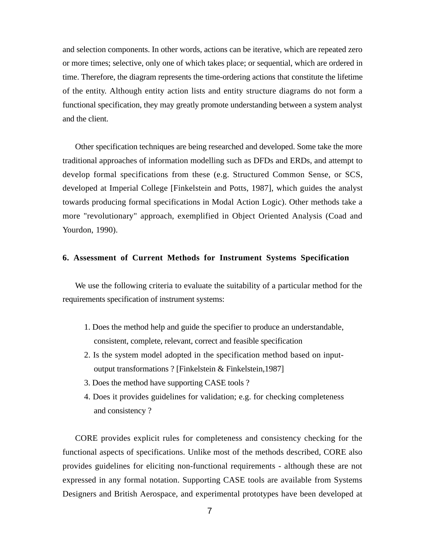and selection components. In other words, actions can be iterative, which are repeated zero or more times; selective, only one of which takes place; or sequential, which are ordered in time. Therefore, the diagram represents the time-ordering actions that constitute the lifetime of the entity. Although entity action lists and entity structure diagrams do not form a functional specification, they may greatly promote understanding between a system analyst and the client.

Other specification techniques are being researched and developed. Some take the more traditional approaches of information modelling such as DFDs and ERDs, and attempt to develop formal specifications from these (e.g. Structured Common Sense, or SCS, developed at Imperial College [Finkelstein and Potts, 1987], which guides the analyst towards producing formal specifications in Modal Action Logic). Other methods take a more "revolutionary" approach, exemplified in Object Oriented Analysis (Coad and Yourdon, 1990).

#### **6. Assessment of Current Methods for Instrument Systems Specification**

We use the following criteria to evaluate the suitability of a particular method for the requirements specification of instrument systems:

- 1. Does the method help and guide the specifier to produce an understandable, consistent, complete, relevant, correct and feasible specification
- 2. Is the system model adopted in the specification method based on inputoutput transformations ? [Finkelstein & Finkelstein,1987]
- 3. Does the method have supporting CASE tools ?
- 4. Does it provides guidelines for validation; e.g. for checking completeness and consistency ?

CORE provides explicit rules for completeness and consistency checking for the functional aspects of specifications. Unlike most of the methods described, CORE also provides guidelines for eliciting non-functional requirements - although these are not expressed in any formal notation. Supporting CASE tools are available from Systems Designers and British Aerospace, and experimental prototypes have been developed at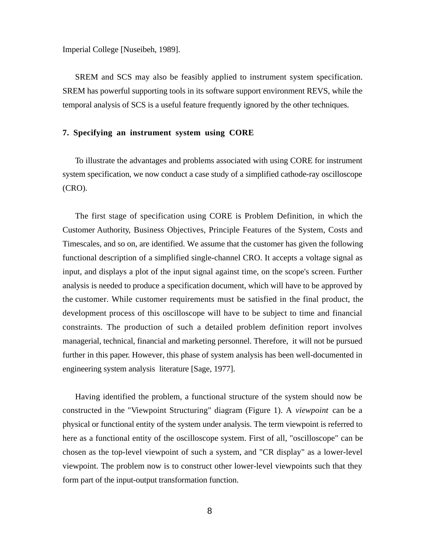Imperial College [Nuseibeh, 1989].

SREM and SCS may also be feasibly applied to instrument system specification. SREM has powerful supporting tools in its software support environment REVS, while the temporal analysis of SCS is a useful feature frequently ignored by the other techniques.

#### **7. Specifying an instrument system using CORE**

To illustrate the advantages and problems associated with using CORE for instrument system specification, we now conduct a case study of a simplified cathode-ray oscilloscope (CRO).

The first stage of specification using CORE is Problem Definition, in which the Customer Authority, Business Objectives, Principle Features of the System, Costs and Timescales, and so on, are identified. We assume that the customer has given the following functional description of a simplified single-channel CRO. It accepts a voltage signal as input, and displays a plot of the input signal against time, on the scope's screen. Further analysis is needed to produce a specification document, which will have to be approved by the customer. While customer requirements must be satisfied in the final product, the development process of this oscilloscope will have to be subject to time and financial constraints. The production of such a detailed problem definition report involves managerial, technical, financial and marketing personnel. Therefore, it will not be pursued further in this paper. However, this phase of system analysis has been well-documented in engineering system analysis literature [Sage, 1977].

Having identified the problem, a functional structure of the system should now be constructed in the "Viewpoint Structuring" diagram (Figure 1). A *viewpoint* can be a physical or functional entity of the system under analysis. The term viewpoint is referred to here as a functional entity of the oscilloscope system. First of all, "oscilloscope" can be chosen as the top-level viewpoint of such a system, and "CR display" as a lower-level viewpoint. The problem now is to construct other lower-level viewpoints such that they form part of the input-output transformation function.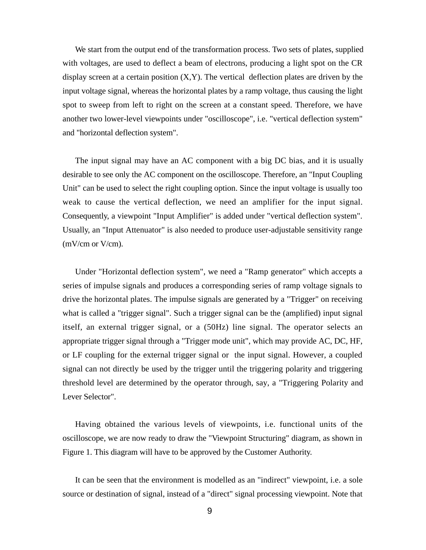We start from the output end of the transformation process. Two sets of plates, supplied with voltages, are used to deflect a beam of electrons, producing a light spot on the CR display screen at a certain position  $(X, Y)$ . The vertical deflection plates are driven by the input voltage signal, whereas the horizontal plates by a ramp voltage, thus causing the light spot to sweep from left to right on the screen at a constant speed. Therefore, we have another two lower-level viewpoints under "oscilloscope", i.e. "vertical deflection system" and "horizontal deflection system".

The input signal may have an AC component with a big DC bias, and it is usually desirable to see only the AC component on the oscilloscope. Therefore, an "Input Coupling Unit" can be used to select the right coupling option. Since the input voltage is usually too weak to cause the vertical deflection, we need an amplifier for the input signal. Consequently, a viewpoint "Input Amplifier" is added under "vertical deflection system". Usually, an "Input Attenuator" is also needed to produce user-adjustable sensitivity range (mV/cm or V/cm).

Under "Horizontal deflection system", we need a "Ramp generator" which accepts a series of impulse signals and produces a corresponding series of ramp voltage signals to drive the horizontal plates. The impulse signals are generated by a "Trigger" on receiving what is called a "trigger signal". Such a trigger signal can be the (amplified) input signal itself, an external trigger signal, or a (50Hz) line signal. The operator selects an appropriate trigger signal through a "Trigger mode unit", which may provide AC, DC, HF, or LF coupling for the external trigger signal or the input signal. However, a coupled signal can not directly be used by the trigger until the triggering polarity and triggering threshold level are determined by the operator through, say, a "Triggering Polarity and Lever Selector".

Having obtained the various levels of viewpoints, i.e. functional units of the oscilloscope, we are now ready to draw the "Viewpoint Structuring" diagram, as shown in Figure 1. This diagram will have to be approved by the Customer Authority.

It can be seen that the environment is modelled as an "indirect" viewpoint, i.e. a sole source or destination of signal, instead of a "direct" signal processing viewpoint. Note that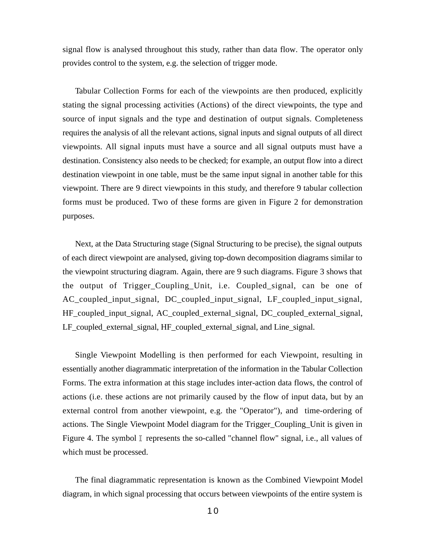signal flow is analysed throughout this study, rather than data flow. The operator only provides control to the system, e.g. the selection of trigger mode.

Tabular Collection Forms for each of the viewpoints are then produced, explicitly stating the signal processing activities (Actions) of the direct viewpoints, the type and source of input signals and the type and destination of output signals. Completeness requires the analysis of all the relevant actions, signal inputs and signal outputs of all direct viewpoints. All signal inputs must have a source and all signal outputs must have a destination. Consistency also needs to be checked; for example, an output flow into a direct destination viewpoint in one table, must be the same input signal in another table for this viewpoint. There are 9 direct viewpoints in this study, and therefore 9 tabular collection forms must be produced. Two of these forms are given in Figure 2 for demonstration purposes.

Next, at the Data Structuring stage (Signal Structuring to be precise), the signal outputs of each direct viewpoint are analysed, giving top-down decomposition diagrams similar to the viewpoint structuring diagram. Again, there are 9 such diagrams. Figure 3 shows that the output of Trigger\_Coupling\_Unit, i.e. Coupled\_signal, can be one of AC\_coupled\_input\_signal, DC\_coupled\_input\_signal, LF\_coupled\_input\_signal, HF\_coupled\_input\_signal, AC\_coupled\_external\_signal, DC\_coupled\_external\_signal, LF\_coupled\_external\_signal, HF\_coupled\_external\_signal, and Line\_signal.

Single Viewpoint Modelling is then performed for each Viewpoint, resulting in essentially another diagrammatic interpretation of the information in the Tabular Collection Forms. The extra information at this stage includes inter-action data flows, the control of actions (i.e. these actions are not primarily caused by the flow of input data, but by an external control from another viewpoint, e.g. the "Operator"), and time-ordering of actions. The Single Viewpoint Model diagram for the Trigger\_Coupling\_Unit is given in Figure 4. The symbol I represents the so-called "channel flow" signal, i.e., all values of which must be processed.

The final diagrammatic representation is known as the Combined Viewpoint Model diagram, in which signal processing that occurs between viewpoints of the entire system is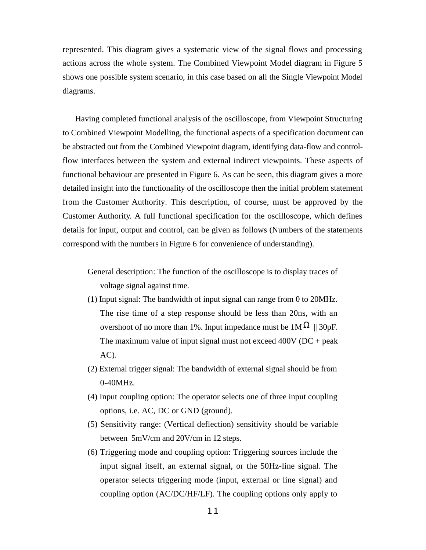represented. This diagram gives a systematic view of the signal flows and processing actions across the whole system. The Combined Viewpoint Model diagram in Figure 5 shows one possible system scenario, in this case based on all the Single Viewpoint Model diagrams.

Having completed functional analysis of the oscilloscope, from Viewpoint Structuring to Combined Viewpoint Modelling, the functional aspects of a specification document can be abstracted out from the Combined Viewpoint diagram, identifying data-flow and controlflow interfaces between the system and external indirect viewpoints. These aspects of functional behaviour are presented in Figure 6. As can be seen, this diagram gives a more detailed insight into the functionality of the oscilloscope then the initial problem statement from the Customer Authority. This description, of course, must be approved by the Customer Authority. A full functional specification for the oscilloscope, which defines details for input, output and control, can be given as follows (Numbers of the statements correspond with the numbers in Figure 6 for convenience of understanding).

General description: The function of the oscilloscope is to display traces of voltage signal against time.

- (1) Input signal: The bandwidth of input signal can range from 0 to 20MHz. The rise time of a step response should be less than 20ns, with an overshoot of no more than 1%. Input impedance must be  $1M^{\Omega}$  || 30pF. The maximum value of input signal must not exceed 400V ( $DC + peak$ AC).
- (2) External trigger signal: The bandwidth of external signal should be from 0-40MHz.
- (4) Input coupling option: The operator selects one of three input coupling options, i.e. AC, DC or GND (ground).
- (5) Sensitivity range: (Vertical deflection) sensitivity should be variable between 5mV/cm and 20V/cm in 12 steps.
- (6) Triggering mode and coupling option: Triggering sources include the input signal itself, an external signal, or the 50Hz-line signal. The operator selects triggering mode (input, external or line signal) and coupling option (AC/DC/HF/LF). The coupling options only apply to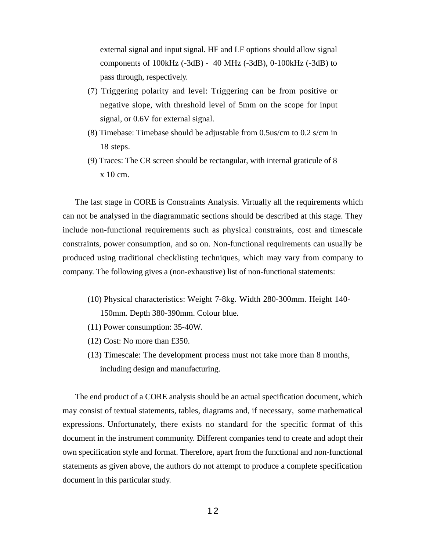external signal and input signal. HF and LF options should allow signal components of 100kHz (-3dB) - 40 MHz (-3dB), 0-100kHz (-3dB) to pass through, respectively.

- (7) Triggering polarity and level: Triggering can be from positive or negative slope, with threshold level of 5mm on the scope for input signal, or 0.6V for external signal.
- (8) Timebase: Timebase should be adjustable from 0.5us/cm to 0.2 s/cm in 18 steps.
- (9) Traces: The CR screen should be rectangular, with internal graticule of 8  $x = 10$  cm.

The last stage in CORE is Constraints Analysis. Virtually all the requirements which can not be analysed in the diagrammatic sections should be described at this stage. They include non-functional requirements such as physical constraints, cost and timescale constraints, power consumption, and so on. Non-functional requirements can usually be produced using traditional checklisting techniques, which may vary from company to company. The following gives a (non-exhaustive) list of non-functional statements:

- (10) Physical characteristics: Weight 7-8kg. Width 280-300mm. Height 140- 150mm. Depth 380-390mm. Colour blue.
- (11) Power consumption: 35-40W.
- (12) Cost: No more than £350.
- (13) Timescale: The development process must not take more than 8 months, including design and manufacturing.

The end product of a CORE analysis should be an actual specification document, which may consist of textual statements, tables, diagrams and, if necessary, some mathematical expressions. Unfortunately, there exists no standard for the specific format of this document in the instrument community. Different companies tend to create and adopt their own specification style and format. Therefore, apart from the functional and non-functional statements as given above, the authors do not attempt to produce a complete specification document in this particular study.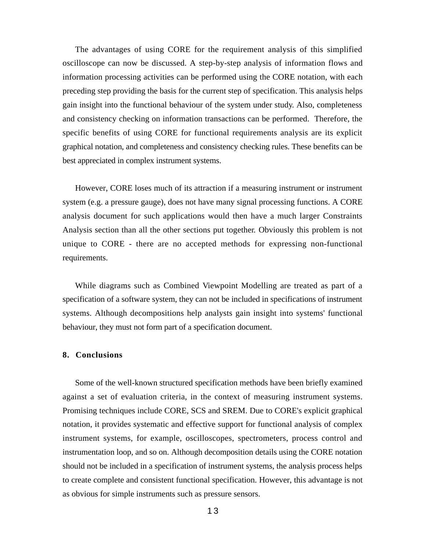The advantages of using CORE for the requirement analysis of this simplified oscilloscope can now be discussed. A step-by-step analysis of information flows and information processing activities can be performed using the CORE notation, with each preceding step providing the basis for the current step of specification. This analysis helps gain insight into the functional behaviour of the system under study. Also, completeness and consistency checking on information transactions can be performed. Therefore, the specific benefits of using CORE for functional requirements analysis are its explicit graphical notation, and completeness and consistency checking rules. These benefits can be best appreciated in complex instrument systems.

However, CORE loses much of its attraction if a measuring instrument or instrument system (e.g. a pressure gauge), does not have many signal processing functions. A CORE analysis document for such applications would then have a much larger Constraints Analysis section than all the other sections put together. Obviously this problem is not unique to CORE - there are no accepted methods for expressing non-functional requirements.

While diagrams such as Combined Viewpoint Modelling are treated as part of a specification of a software system, they can not be included in specifications of instrument systems. Although decompositions help analysts gain insight into systems' functional behaviour, they must not form part of a specification document.

#### **8. Conclusions**

Some of the well-known structured specification methods have been briefly examined against a set of evaluation criteria, in the context of measuring instrument systems. Promising techniques include CORE, SCS and SREM. Due to CORE's explicit graphical notation, it provides systematic and effective support for functional analysis of complex instrument systems, for example, oscilloscopes, spectrometers, process control and instrumentation loop, and so on. Although decomposition details using the CORE notation should not be included in a specification of instrument systems, the analysis process helps to create complete and consistent functional specification. However, this advantage is not as obvious for simple instruments such as pressure sensors.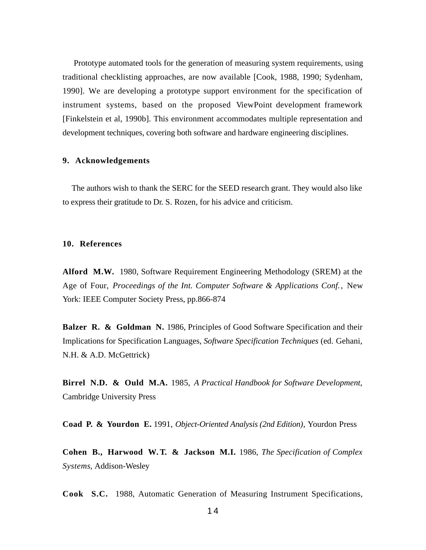Prototype automated tools for the generation of measuring system requirements, using traditional checklisting approaches, are now available [Cook, 1988, 1990; Sydenham, 1990]. We are developing a prototype support environment for the specification of instrument systems, based on the proposed ViewPoint development framework [Finkelstein et al, 1990b]. This environment accommodates multiple representation and development techniques, covering both software and hardware engineering disciplines.

#### **9. Acknowledgements**

The authors wish to thank the SERC for the SEED research grant. They would also like to express their gratitude to Dr. S. Rozen, for his advice and criticism.

#### **10. References**

**Alford M.W.** 1980, Software Requirement Engineering Methodology (SREM) at the Age of Four, *Proceedings of the Int. Computer Software & Applications Conf.*, New York: IEEE Computer Society Press, pp.866-874

**Balzer R. & Goldman N.** 1986, Principles of Good Software Specification and their Implications for Specification Languages, *Software Specification Techniques* (ed. Gehani, N.H. & A.D. McGettrick)

**Birrel N.D. & Ould M.A.** 1985, *A Practical Handbook for Software Development*, Cambridge University Press

**Coad P. & Yourdon E.** 1991, *Object-Oriented Analysis (2nd Edition)*, Yourdon Press

**Cohen B., Harwood W. T. & Jackson M.I.** 1986, *The Specification of Complex Systems*, Addison-Wesley

**Cook S.C.** 1988, Automatic Generation of Measuring Instrument Specifications,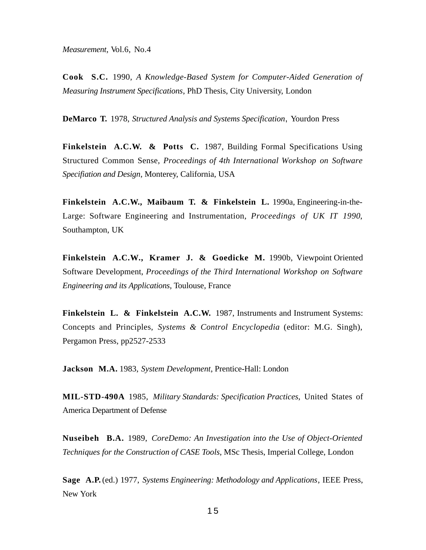*Measurement*, Vol.6, No.4

**Cook S.C.** 1990, *A Knowledge-Based System for Computer-Aided Generation of Measuring Instrument Specifications*, PhD Thesis, City University, London

**DeMarco T.** 1978, *Structured Analysis and Systems Specification*, Yourdon Press

**Finkelstein A.C.W. & Potts C.** 1987, Building Formal Specifications Using Structured Common Sense, *Proceedings of 4th International Workshop on Software Specifiation and Design*, Monterey, California, USA

**Finkelstein A.C.W., Maibaum T. & Finkelstein L.** 1990a, Engineering-in-the-Large: Software Engineering and Instrumentation, *Proceedings of UK IT 1990*, Southampton, UK

**Finkelstein A.C.W., Kramer J. & Goedicke M.** 1990b, Viewpoint Oriented Software Development, *Proceedings of the Third International Workshop on Software Engineering and its Applications,* Toulouse, France

**Finkelstein L. & Finkelstein A.C.W.** 1987, Instruments and Instrument Systems: Concepts and Principles, *Systems & Control Encyclopedia* (editor: M.G. Singh), Pergamon Press, pp2527-2533

**Jackson M.A.** 1983, *System Development*, Prentice-Hall: London

**MIL-STD-490A** 1985, *Military Standards: Specification Practices*, United States of America Department of Defense

**Nuseibeh B.A.** 1989, *CoreDemo: An Investigation into the Use of Object-Oriented Techniques for the Construction of CASE Tools*, MSc Thesis, Imperial College, London

**Sage A.P.** (ed.) 1977, *Systems Engineering: Methodology and Applications*, IEEE Press, New York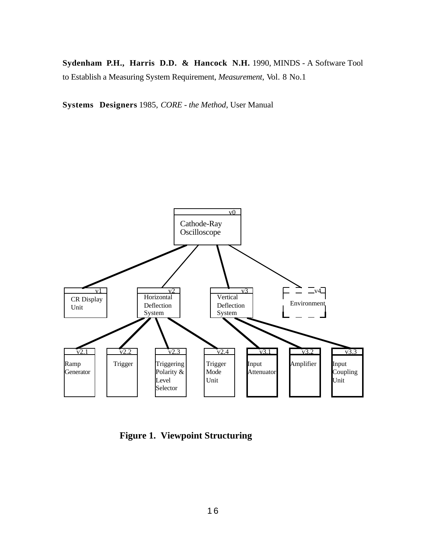**Sydenham P.H., Harris D.D. & Hancock N.H.** 1990, MINDS - A Software Tool to Establish a Measuring System Requirement, *Measurement*, Vol. 8 No.1

#### **Systems Designers** 1985, *CORE - the Method*, User Manual



**Figure 1. Viewpoint Structuring**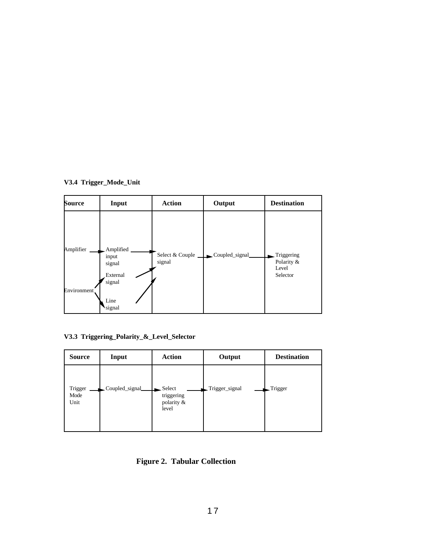**V3.4 Trigger\_Mode\_Unit**

| <b>Source</b> | Input                                | <b>Action</b>             | Output                           | <b>Destination</b>                |
|---------------|--------------------------------------|---------------------------|----------------------------------|-----------------------------------|
| Amplifier     | Amplified<br>input<br>signal         | Select & Couple<br>signal | $\longrightarrow$ Coupled_signal | Triggering<br>Polarity &<br>Level |
| Environment   | External<br>signal<br>Line<br>signal |                           |                                  | Selector                          |

**V3.3 Triggering\_Polarity\_&\_Level\_Selector**

| <b>Source</b>           | Input          | <b>Action</b>                               | Output         | <b>Destination</b> |
|-------------------------|----------------|---------------------------------------------|----------------|--------------------|
| Trigger<br>Mode<br>Unit | Coupled_signal | Select<br>triggering<br>polarity &<br>level | Trigger_signal | Trigger            |

**Figure 2. Tabular Collection**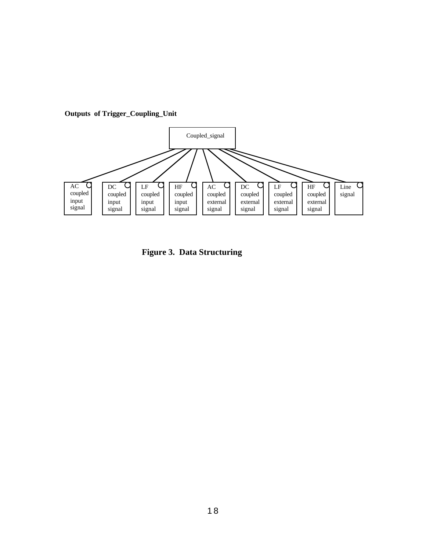

**Outputs of Trigger\_Coupling\_Unit**

**Figure 3. Data Structuring**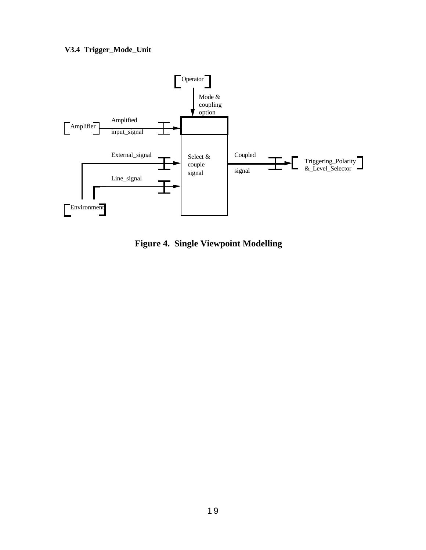#### **V3.4 Trigger\_Mode\_Unit**



**Figure 4. Single Viewpoint Modelling**